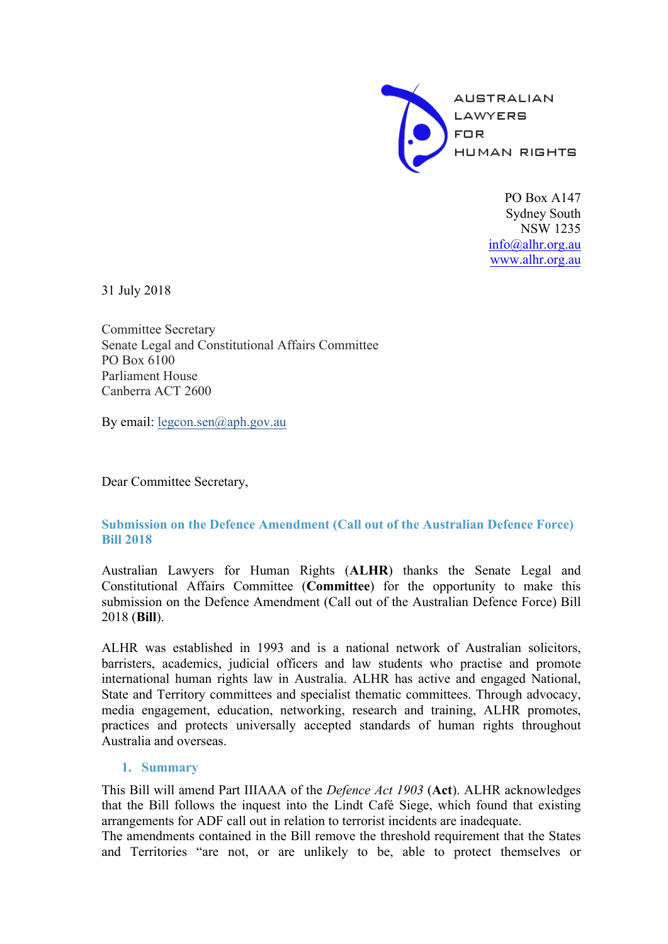

PO Box A<sub>147</sub> Sydney South NSW 1235 info@alhr.org.au www.alhr.org.au

31 July 2018

Committee Secretary Senate Legal and Constitutional Affairs Committee PO Box 6100 Parliament House Canberra ACT 2600

By email: legcon.sen@aph.gov.au

Dear Committee Secretary,

# **Submission on the Defence Amendment (Call out of the Australian Defence Force) Bill 2018**

Australian Lawyers for Human Rights (**ALHR**) thanks the Senate Legal and Constitutional Affairs Committee (**Committee**) for the opportunity to make this submission on the Defence Amendment (Call out of the Australian Defence Force) Bill 2018 (**Bill**).

ALHR was established in 1993 and is a national network of Australian solicitors, barristers, academics, judicial officers and law students who practise and promote international human rights law in Australia. ALHR has active and engaged National, State and Territory committees and specialist thematic committees. Through advocacy, media engagement, education, networking, research and training, ALHR promotes, practices and protects universally accepted standards of human rights throughout Australia and overseas.

# **1. Summary**

This Bill will amend Part IIIAAA of the *Defence Act 1903* (**Act**). ALHR acknowledges that the Bill follows the inquest into the Lindt Café Siege, which found that existing arrangements for ADF call out in relation to terrorist incidents are inadequate.

The amendments contained in the Bill remove the threshold requirement that the States and Territories "are not, or are unlikely to be, able to protect themselves or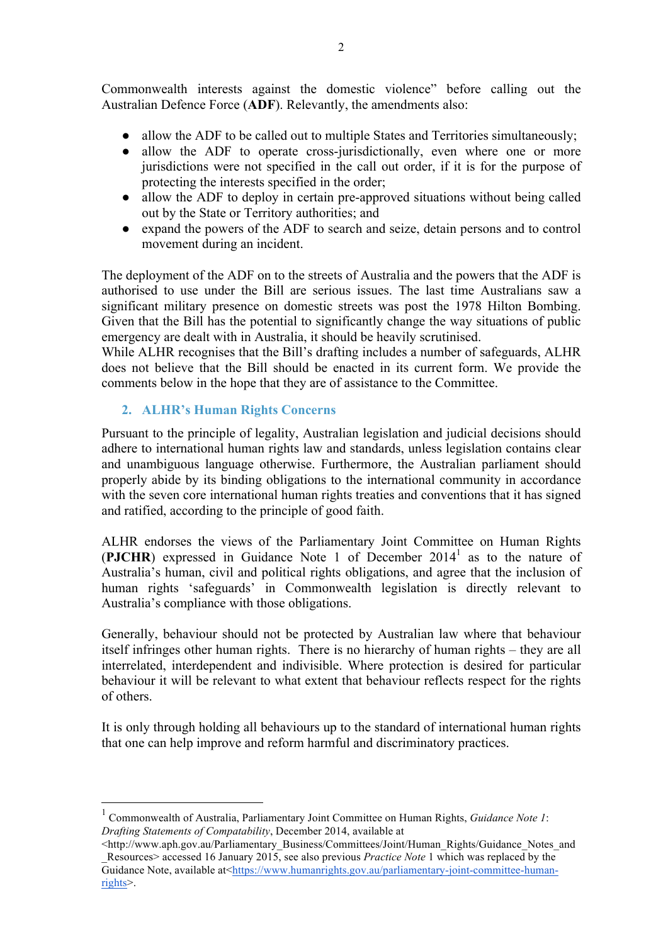Commonwealth interests against the domestic violence" before calling out the Australian Defence Force (**ADF**). Relevantly, the amendments also:

- allow the ADF to be called out to multiple States and Territories simultaneously;
- allow the ADF to operate cross-jurisdictionally, even where one or more jurisdictions were not specified in the call out order, if it is for the purpose of protecting the interests specified in the order;
- allow the ADF to deploy in certain pre-approved situations without being called out by the State or Territory authorities; and
- expand the powers of the ADF to search and seize, detain persons and to control movement during an incident.

The deployment of the ADF on to the streets of Australia and the powers that the ADF is authorised to use under the Bill are serious issues. The last time Australians saw a significant military presence on domestic streets was post the 1978 Hilton Bombing. Given that the Bill has the potential to significantly change the way situations of public emergency are dealt with in Australia, it should be heavily scrutinised.

While ALHR recognises that the Bill's drafting includes a number of safeguards, ALHR does not believe that the Bill should be enacted in its current form. We provide the comments below in the hope that they are of assistance to the Committee.

## **2. ALHR's Human Rights Concerns**

Pursuant to the principle of legality, Australian legislation and judicial decisions should adhere to international human rights law and standards, unless legislation contains clear and unambiguous language otherwise. Furthermore, the Australian parliament should properly abide by its binding obligations to the international community in accordance with the seven core international human rights treaties and conventions that it has signed and ratified, according to the principle of good faith.

ALHR endorses the views of the Parliamentary Joint Committee on Human Rights (**PJCHR**) expressed in Guidance Note 1 of December 2014<sup>1</sup> as to the nature of Australia's human, civil and political rights obligations, and agree that the inclusion of human rights 'safeguards' in Commonwealth legislation is directly relevant to Australia's compliance with those obligations.

Generally, behaviour should not be protected by Australian law where that behaviour itself infringes other human rights. There is no hierarchy of human rights – they are all interrelated, interdependent and indivisible. Where protection is desired for particular behaviour it will be relevant to what extent that behaviour reflects respect for the rights of others.

It is only through holding all behaviours up to the standard of international human rights that one can help improve and reform harmful and discriminatory practices.

 <sup>1</sup> Commonwealth of Australia, Parliamentary Joint Committee on Human Rights, *Guidance Note 1*: *Drafting Statements of Compatability*, December 2014, available at

<sup>&</sup>lt;http://www.aph.gov.au/Parliamentary\_Business/Committees/Joint/Human\_Rights/Guidance\_Notes\_and \_Resources> accessed 16 January 2015, see also previous *Practice Note* 1 which was replaced by the Guidance Note, available at<https://www.humanrights.gov.au/parliamentary-joint-committee-humanrights>.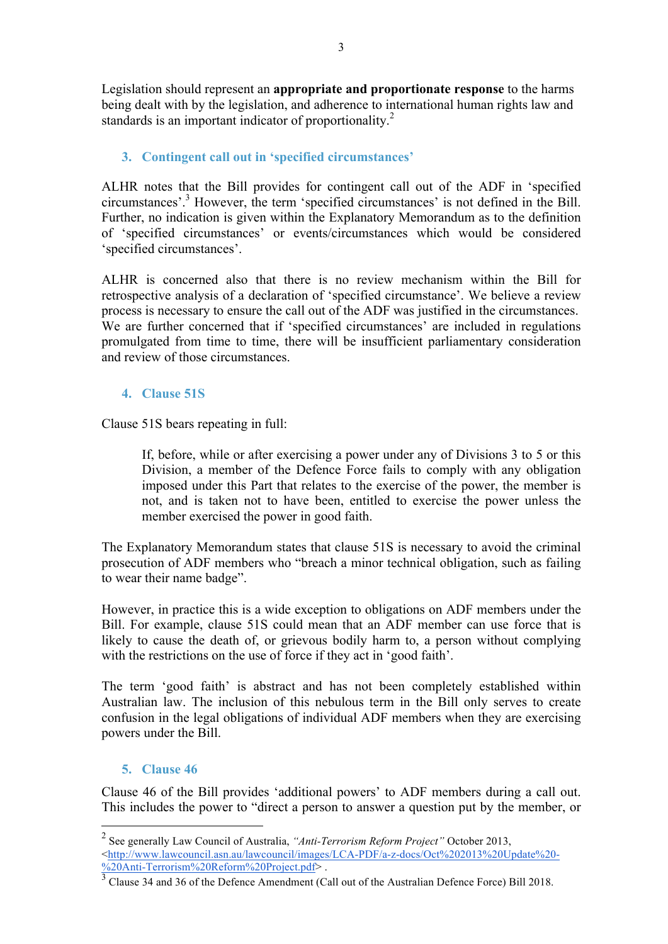Legislation should represent an **appropriate and proportionate response** to the harms being dealt with by the legislation, and adherence to international human rights law and standards is an important indicator of proportionality.<sup>2</sup>

# **3. Contingent call out in 'specified circumstances'**

ALHR notes that the Bill provides for contingent call out of the ADF in 'specified circumstances'.3 However, the term 'specified circumstances' is not defined in the Bill. Further, no indication is given within the Explanatory Memorandum as to the definition of 'specified circumstances' or events/circumstances which would be considered 'specified circumstances'.

ALHR is concerned also that there is no review mechanism within the Bill for retrospective analysis of a declaration of 'specified circumstance'. We believe a review process is necessary to ensure the call out of the ADF was justified in the circumstances. We are further concerned that if 'specified circumstances' are included in regulations promulgated from time to time, there will be insufficient parliamentary consideration and review of those circumstances.

## **4. Clause 51S**

Clause 51S bears repeating in full:

If, before, while or after exercising a power under any of Divisions 3 to 5 or this Division, a member of the Defence Force fails to comply with any obligation imposed under this Part that relates to the exercise of the power, the member is not, and is taken not to have been, entitled to exercise the power unless the member exercised the power in good faith.

The Explanatory Memorandum states that clause 51S is necessary to avoid the criminal prosecution of ADF members who "breach a minor technical obligation, such as failing to wear their name badge".

However, in practice this is a wide exception to obligations on ADF members under the Bill. For example, clause 51S could mean that an ADF member can use force that is likely to cause the death of, or grievous bodily harm to, a person without complying with the restrictions on the use of force if they act in 'good faith'.

The term 'good faith' is abstract and has not been completely established within Australian law. The inclusion of this nebulous term in the Bill only serves to create confusion in the legal obligations of individual ADF members when they are exercising powers under the Bill.

# **5. Clause 46**

Clause 46 of the Bill provides 'additional powers' to ADF members during a call out. This includes the power to "direct a person to answer a question put by the member, or

 <sup>2</sup> See generally Law Council of Australia, *"Anti-Terrorism Reform Project"* October 2013, <http://www.lawcouncil.asn.au/lawcouncil/images/LCA-PDF/a-z-docs/Oct%202013%20Update%20- %20Anti-Terrorism%20Reform%20Project.pdf> .

 $\frac{3}{3}$  Clause 34 and 36 of the Defence Amendment (Call out of the Australian Defence Force) Bill 2018.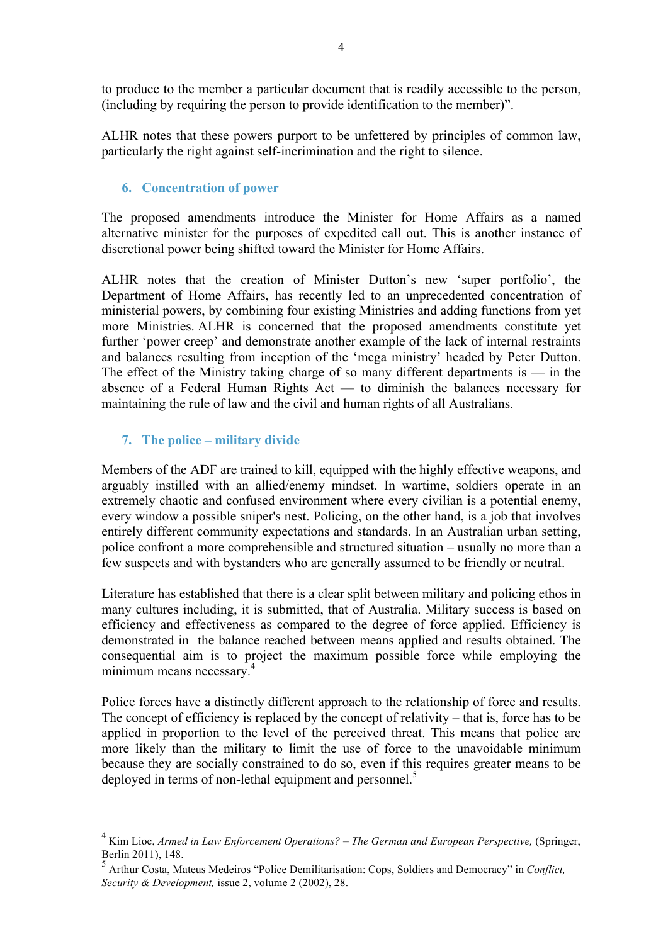to produce to the member a particular document that is readily accessible to the person, (including by requiring the person to provide identification to the member)".

ALHR notes that these powers purport to be unfettered by principles of common law, particularly the right against self-incrimination and the right to silence.

### **6. Concentration of power**

The proposed amendments introduce the Minister for Home Affairs as a named alternative minister for the purposes of expedited call out. This is another instance of discretional power being shifted toward the Minister for Home Affairs.

ALHR notes that the creation of Minister Dutton's new 'super portfolio', the Department of Home Affairs, has recently led to an unprecedented concentration of ministerial powers, by combining four existing Ministries and adding functions from yet more Ministries. ALHR is concerned that the proposed amendments constitute yet further 'power creep' and demonstrate another example of the lack of internal restraints and balances resulting from inception of the 'mega ministry' headed by Peter Dutton. The effect of the Ministry taking charge of so many different departments is  $-$  in the absence of a Federal Human Rights Act — to diminish the balances necessary for maintaining the rule of law and the civil and human rights of all Australians.

## **7. The police – military divide**

Members of the ADF are trained to kill, equipped with the highly effective weapons, and arguably instilled with an allied/enemy mindset. In wartime, soldiers operate in an extremely chaotic and confused environment where every civilian is a potential enemy, every window a possible sniper's nest. Policing, on the other hand, is a job that involves entirely different community expectations and standards. In an Australian urban setting, police confront a more comprehensible and structured situation – usually no more than a few suspects and with bystanders who are generally assumed to be friendly or neutral.

Literature has established that there is a clear split between military and policing ethos in many cultures including, it is submitted, that of Australia. Military success is based on efficiency and effectiveness as compared to the degree of force applied. Efficiency is demonstrated in the balance reached between means applied and results obtained. The consequential aim is to project the maximum possible force while employing the minimum means necessary.<sup>4</sup>

Police forces have a distinctly different approach to the relationship of force and results. The concept of efficiency is replaced by the concept of relativity – that is, force has to be applied in proportion to the level of the perceived threat. This means that police are more likely than the military to limit the use of force to the unavoidable minimum because they are socially constrained to do so, even if this requires greater means to be deployed in terms of non-lethal equipment and personnel.<sup>5</sup>

 <sup>4</sup> Kim Lioe, *Armed in Law Enforcement Operations? – The German and European Perspective,* (Springer, Berlin 2011), 148.

<sup>5</sup> Arthur Costa, Mateus Medeiros "Police Demilitarisation: Cops, Soldiers and Democracy" in *Conflict, Security & Development,* issue 2, volume 2 (2002), 28.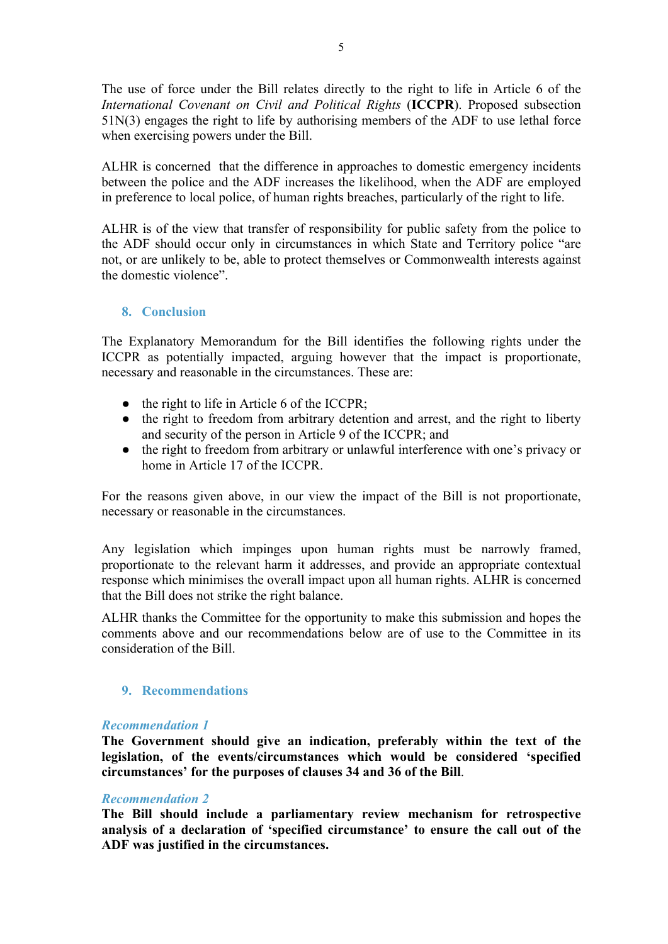The use of force under the Bill relates directly to the right to life in Article 6 of the *International Covenant on Civil and Political Rights* (**ICCPR**). Proposed subsection 51N(3) engages the right to life by authorising members of the ADF to use lethal force when exercising powers under the Bill.

ALHR is concerned that the difference in approaches to domestic emergency incidents between the police and the ADF increases the likelihood, when the ADF are employed in preference to local police, of human rights breaches, particularly of the right to life.

ALHR is of the view that transfer of responsibility for public safety from the police to the ADF should occur only in circumstances in which State and Territory police "are not, or are unlikely to be, able to protect themselves or Commonwealth interests against the domestic violence".

## **8. Conclusion**

The Explanatory Memorandum for the Bill identifies the following rights under the ICCPR as potentially impacted, arguing however that the impact is proportionate, necessary and reasonable in the circumstances. These are:

- the right to life in Article 6 of the ICCPR;
- the right to freedom from arbitrary detention and arrest, and the right to liberty and security of the person in Article 9 of the ICCPR; and
- the right to freedom from arbitrary or unlawful interference with one's privacy or home in Article 17 of the ICCPR.

For the reasons given above, in our view the impact of the Bill is not proportionate, necessary or reasonable in the circumstances.

Any legislation which impinges upon human rights must be narrowly framed, proportionate to the relevant harm it addresses, and provide an appropriate contextual response which minimises the overall impact upon all human rights. ALHR is concerned that the Bill does not strike the right balance.

ALHR thanks the Committee for the opportunity to make this submission and hopes the comments above and our recommendations below are of use to the Committee in its consideration of the Bill.

### **9. Recommendations**

#### *Recommendation 1*

**The Government should give an indication, preferably within the text of the legislation, of the events/circumstances which would be considered 'specified circumstances' for the purposes of clauses 34 and 36 of the Bill**.

#### *Recommendation 2*

**The Bill should include a parliamentary review mechanism for retrospective analysis of a declaration of 'specified circumstance' to ensure the call out of the ADF was justified in the circumstances.**